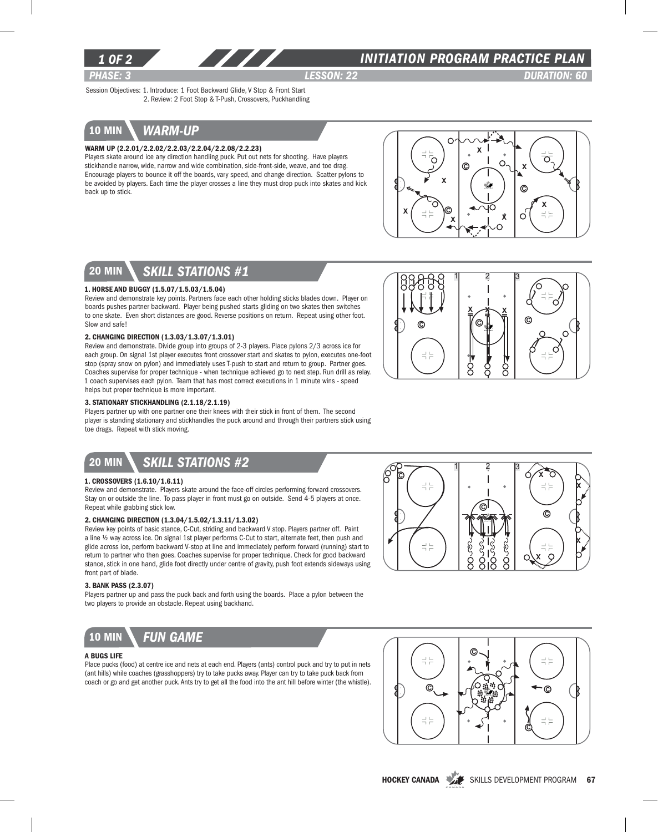

### *INITIATION program PRACTICE PLAN*

*PHASE: 3 lesson: 22 DURATION: 60* 

Ω

Session Objectives: 1. Introduce: 1 Foot Backward Glide, V Stop & Front Start 2. Review: 2 Foot Stop & T-Push, Crossovers, Puckhandling

# 10 min *warm-up*

#### Warm Up (2.2.01/2.2.02/2.2.03/2.2.04/2.2.08/2.2.23)

Players skate around ice any direction handling puck. Put out nets for shooting. Have players stickhandle narrow, wide, narrow and wide combination, side-front-side, weave, and toe drag. Encourage players to bounce it off the boards, vary speed, and change direction. Scatter pylons to be avoided by players. Each time the player crosses a line they must drop puck into skates and kick back up to stick.



 $\underline{x}$   $\rightarrow$   $\underline{x}$ 

 $1 \quad 2 \quad 3$ 

ol II c

C

로는

### 20 min *skill stations #1*

#### 1. Horse and Buggy (1.5.07/1.5.03/1.5.04)

Review and demonstrate key points. Partners face each other holding sticks blades down. Player on boards pushes partner backward. Player being pushed starts gliding on two skates then switches to one skate. Even short distances are good. Reverse positions on return. Repeat using other foot. Slow and safe!

### 2. Changing Direction (1.3.03/1.3.07/1.3.01)

Review and demonstrate. Divide group into groups of 2-3 players. Place pylons 2/3 across ice for each group. On signal 1st player executes front crossover start and skates to pylon, executes one-foot stop (spray snow on pylon) and immediately uses T-push to start and return to group. Partner goes. Coaches supervise for proper technique - when technique achieved go to next step. Run drill as relay. 1 coach supervises each pylon. Team that has most correct executions in 1 minute wins - speed helps but proper technique is more important.

#### 3. Stationary Stickhandling (2.1.18/2.1.19)

Players partner up with one partner one their knees with their stick in front of them. The second player is standing stationary and stickhandles the puck around and through their partners stick using toe drags. Repeat with stick moving.

# 20 min *Skill stations #2*

#### 1. Crossovers (1.6.10/1.6.11)

Review and demonstrate. Players skate around the face-off circles performing forward crossovers. Stay on or outside the line. To pass player in front must go on outside. Send 4-5 players at once. Repeat while grabbing stick low.

#### 2. Changing Direction (1.3.04/1.5.02/1.3.11/1.3.02)

Review key points of basic stance, C-Cut, striding and backward V stop. Players partner off. Paint a line ½ way across ice. On signal 1st player performs C-Cut to start, alternate feet, then push and glide across ice, perform backward V-stop at line and immediately perform forward (running) start to return to partner who then goes. Coaches supervise for proper technique. Check for good backward stance, stick in one hand, glide foot directly under centre of gravity, push foot extends sideways using front part of blade.

#### 3. Bank Pass (2.3.07)

Players partner up and pass the puck back and forth using the boards. Place a pylon between the two players to provide an obstacle. Repeat using backhand.



#### A Bugs Life

Place pucks (food) at centre ice and nets at each end. Players (ants) control puck and try to put in nets (ant hills) while coaches (grasshoppers) try to take pucks away. Player can try to take puck back from coach or go and get another puck. Ants try to get all the food into the ant hill before winter (the whistle).





HOCKEY CANADA SKILLS DEVELOPMENT PROGRAM 67